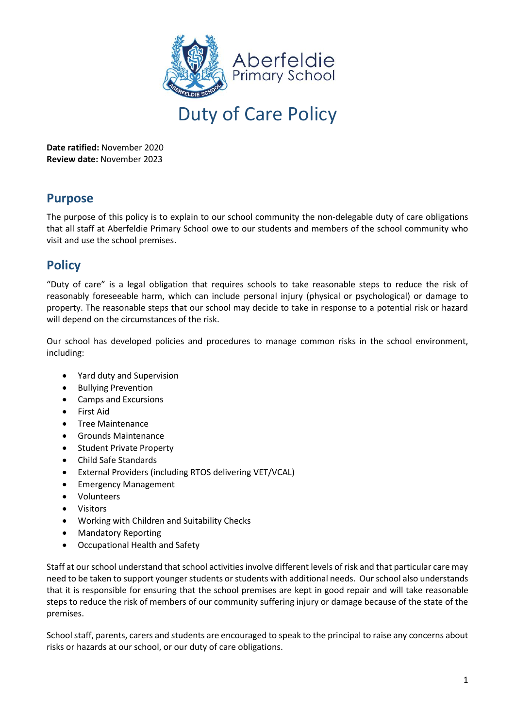

Duty of Care Policy

**Date ratified:** November 2020 **Review date:** November 2023

## **Purpose**

The purpose of this policy is to explain to our school community the non-delegable duty of care obligations that all staff at Aberfeldie Primary School owe to our students and members of the school community who visit and use the school premises.

# **Policy**

"Duty of care" is a legal obligation that requires schools to take reasonable steps to reduce the risk of reasonably foreseeable harm, which can include personal injury (physical or psychological) or damage to property. The reasonable steps that our school may decide to take in response to a potential risk or hazard will depend on the circumstances of the risk.

Our school has developed policies and procedures to manage common risks in the school environment, including:

- Yard duty and Supervision
- Bullying Prevention
- Camps and Excursions
- First Aid
- Tree Maintenance
- Grounds Maintenance
- Student Private Property
- Child Safe Standards
- External Providers (including RTOS delivering VET/VCAL)
- Emergency Management
- Volunteers
- **Visitors**
- Working with Children and Suitability Checks
- Mandatory Reporting
- Occupational Health and Safety

Staff at our school understand that school activities involve different levels of risk and that particular care may need to be taken to support younger students or students with additional needs. Our school also understands that it is responsible for ensuring that the school premises are kept in good repair and will take reasonable steps to reduce the risk of members of our community suffering injury or damage because of the state of the premises.

School staff, parents, carers and students are encouraged to speak to the principal to raise any concerns about risks or hazards at our school, or our duty of care obligations.